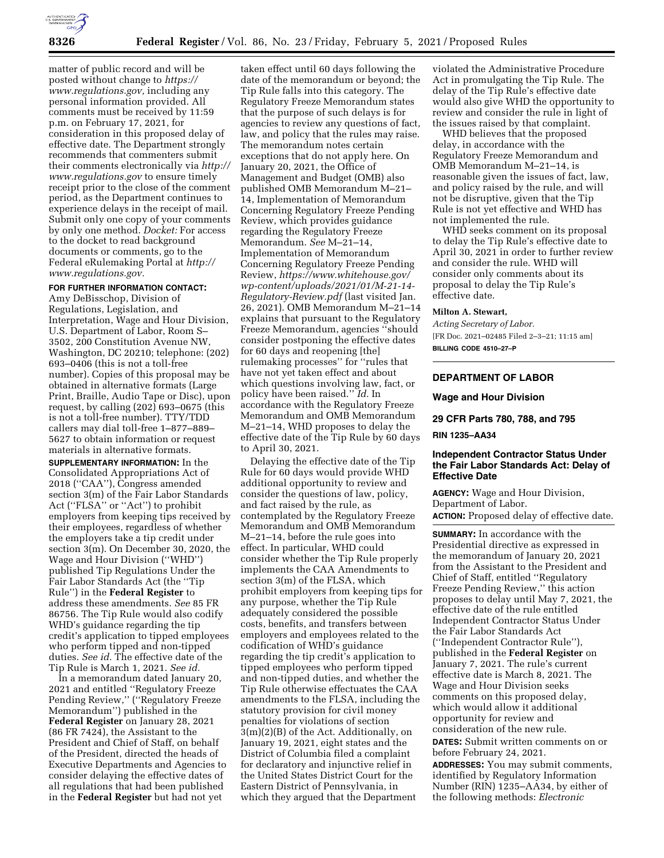

matter of public record and will be posted without change to *[https://](https://www.regulations.gov) [www.regulations.gov,](https://www.regulations.gov)* including any personal information provided. All comments must be received by 11:59 p.m. on February 17, 2021, for consideration in this proposed delay of effective date. The Department strongly recommends that commenters submit their comments electronically via *[http://](http://www.regulations.gov) [www.regulations.gov](http://www.regulations.gov)* to ensure timely receipt prior to the close of the comment period, as the Department continues to experience delays in the receipt of mail. Submit only one copy of your comments by only one method. *Docket:* For access to the docket to read background documents or comments, go to the Federal eRulemaking Portal at *[http://](http://www.regulations.gov) [www.regulations.gov.](http://www.regulations.gov)* 

### **FOR FURTHER INFORMATION CONTACT:**

Amy DeBisschop, Division of Regulations, Legislation, and Interpretation, Wage and Hour Division, U.S. Department of Labor, Room S– 3502, 200 Constitution Avenue NW, Washington, DC 20210; telephone: (202) 693–0406 (this is not a toll-free number). Copies of this proposal may be obtained in alternative formats (Large Print, Braille, Audio Tape or Disc), upon request, by calling (202) 693–0675 (this is not a toll-free number). TTY/TDD callers may dial toll-free 1–877–889– 5627 to obtain information or request materials in alternative formats.

**SUPPLEMENTARY INFORMATION:** In the Consolidated Appropriations Act of 2018 (''CAA''), Congress amended section 3(m) of the Fair Labor Standards Act (''FLSA'' or ''Act'') to prohibit employers from keeping tips received by their employees, regardless of whether the employers take a tip credit under section 3(m). On December 30, 2020, the Wage and Hour Division (''WHD'') published Tip Regulations Under the Fair Labor Standards Act (the ''Tip Rule'') in the **Federal Register** to address these amendments. *See* 85 FR 86756. The Tip Rule would also codify WHD's guidance regarding the tip credit's application to tipped employees who perform tipped and non-tipped duties. *See id.* The effective date of the Tip Rule is March 1, 2021. *See id.* 

In a memorandum dated January 20, 2021 and entitled ''Regulatory Freeze Pending Review,'' (''Regulatory Freeze Memorandum'') published in the **Federal Register** on January 28, 2021 (86 FR 7424), the Assistant to the President and Chief of Staff, on behalf of the President, directed the heads of Executive Departments and Agencies to consider delaying the effective dates of all regulations that had been published in the **Federal Register** but had not yet

taken effect until 60 days following the date of the memorandum or beyond; the Tip Rule falls into this category. The Regulatory Freeze Memorandum states that the purpose of such delays is for agencies to review any questions of fact, law, and policy that the rules may raise. The memorandum notes certain exceptions that do not apply here. On January 20, 2021, the Office of Management and Budget (OMB) also published OMB Memorandum M–21– 14, Implementation of Memorandum Concerning Regulatory Freeze Pending Review, which provides guidance regarding the Regulatory Freeze Memorandum. *See* M–21–14, Implementation of Memorandum Concerning Regulatory Freeze Pending Review, *[https://www.whitehouse.gov/](https://www.whitehouse.gov/wp-content/uploads/2021/01/M-21-14-Regulatory-Review.pdf) [wp-content/uploads/2021/01/M-21-14-](https://www.whitehouse.gov/wp-content/uploads/2021/01/M-21-14-Regulatory-Review.pdf)  [Regulatory-Review.pdf](https://www.whitehouse.gov/wp-content/uploads/2021/01/M-21-14-Regulatory-Review.pdf)* (last visited Jan. 26, 2021). OMB Memorandum M–21–14 explains that pursuant to the Regulatory Freeze Memorandum, agencies ''should consider postponing the effective dates for 60 days and reopening [the] rulemaking processes'' for ''rules that have not yet taken effect and about which questions involving law, fact, or policy have been raised.'' *Id.* In accordance with the Regulatory Freeze Memorandum and OMB Memorandum M–21–14, WHD proposes to delay the effective date of the Tip Rule by 60 days to April 30, 2021.

Delaying the effective date of the Tip Rule for 60 days would provide WHD additional opportunity to review and consider the questions of law, policy, and fact raised by the rule, as contemplated by the Regulatory Freeze Memorandum and OMB Memorandum M–21–14, before the rule goes into effect. In particular, WHD could consider whether the Tip Rule properly implements the CAA Amendments to section 3(m) of the FLSA, which prohibit employers from keeping tips for any purpose, whether the Tip Rule adequately considered the possible costs, benefits, and transfers between employers and employees related to the codification of WHD's guidance regarding the tip credit's application to tipped employees who perform tipped and non-tipped duties, and whether the Tip Rule otherwise effectuates the CAA amendments to the FLSA, including the statutory provision for civil money penalties for violations of section 3(m)(2)(B) of the Act. Additionally, on January 19, 2021, eight states and the District of Columbia filed a complaint for declaratory and injunctive relief in the United States District Court for the Eastern District of Pennsylvania, in which they argued that the Department

violated the Administrative Procedure Act in promulgating the Tip Rule. The delay of the Tip Rule's effective date would also give WHD the opportunity to review and consider the rule in light of the issues raised by that complaint.

WHD believes that the proposed delay, in accordance with the Regulatory Freeze Memorandum and OMB Memorandum M–21–14, is reasonable given the issues of fact, law, and policy raised by the rule, and will not be disruptive, given that the Tip Rule is not yet effective and WHD has not implemented the rule.

WHD seeks comment on its proposal to delay the Tip Rule's effective date to April 30, 2021 in order to further review and consider the rule. WHD will consider only comments about its proposal to delay the Tip Rule's effective date.

### **Milton A. Stewart,**

*Acting Secretary of Labor.*  [FR Doc. 2021–02485 Filed 2–3–21; 11:15 am] **BILLING CODE 4510–27–P** 

## **DEPARTMENT OF LABOR**

### **Wage and Hour Division**

**29 CFR Parts 780, 788, and 795** 

# **RIN 1235–AA34**

### **Independent Contractor Status Under the Fair Labor Standards Act: Delay of Effective Date**

**AGENCY:** Wage and Hour Division, Department of Labor. **ACTION:** Proposed delay of effective date.

**SUMMARY:** In accordance with the Presidential directive as expressed in the memorandum of January 20, 2021 from the Assistant to the President and Chief of Staff, entitled ''Regulatory Freeze Pending Review,'' this action proposes to delay until May 7, 2021, the effective date of the rule entitled Independent Contractor Status Under the Fair Labor Standards Act (''Independent Contractor Rule''), published in the **Federal Register** on January 7, 2021. The rule's current effective date is March 8, 2021. The Wage and Hour Division seeks comments on this proposed delay, which would allow it additional opportunity for review and consideration of the new rule.

**DATES:** Submit written comments on or before February 24, 2021.

**ADDRESSES:** You may submit comments, identified by Regulatory Information Number (RIN) 1235–AA34, by either of the following methods: *Electronic*